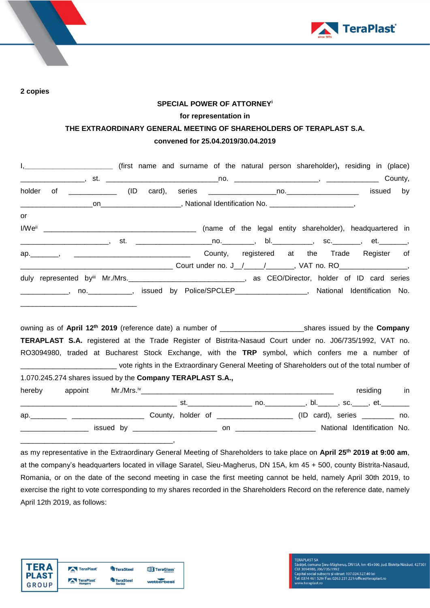

**2 copies**

## **SPECIAL POWER OF ATTORNEY<sup>i</sup> for representation in THE EXTRAORDINARY GENERAL MEETING OF SHAREHOLDERS OF TERAPLAST S.A. convened for 25.04.2019/30.04.2019**

|                                                            |  |  | I, ___________________________ (first name and surname of the natural person shareholder), residing in (place)              |
|------------------------------------------------------------|--|--|-----------------------------------------------------------------------------------------------------------------------------|
|                                                            |  |  |                                                                                                                             |
| holder                                                     |  |  | by                                                                                                                          |
|                                                            |  |  |                                                                                                                             |
| or                                                         |  |  |                                                                                                                             |
|                                                            |  |  |                                                                                                                             |
|                                                            |  |  | ________________________, st.  ________________________________, bl._____________, sc.__________, et._________              |
|                                                            |  |  | ap. , , , , , , , , , , , , County, registered at the Trade Register of                                                     |
|                                                            |  |  |                                                                                                                             |
|                                                            |  |  |                                                                                                                             |
|                                                            |  |  | _____________, no. ___________, issued by Police/SPCLEP_________________, National Identification No.                       |
|                                                            |  |  |                                                                                                                             |
|                                                            |  |  |                                                                                                                             |
|                                                            |  |  |                                                                                                                             |
|                                                            |  |  | TERAPLAST S.A. registered at the Trade Register of Bistrita-Nasaud Court under no. J06/735/1992, VAT no.                    |
|                                                            |  |  | RO3094980, traded at Bucharest Stock Exchange, with the TRP symbol, which confers me a number of                            |
|                                                            |  |  | vote rights in the Extraordinary General Meeting of Shareholders out of the total number of vertical to the total number of |
| 1.070.245.274 shares issued by the Company TERAPLAST S.A., |  |  |                                                                                                                             |
|                                                            |  |  |                                                                                                                             |
| hereby<br>appoint                                          |  |  | residing in                                                                                                                 |
|                                                            |  |  |                                                                                                                             |
|                                                            |  |  | ap. 10. All County, holder of 2000 2000 (ID card), series 2000 2000.                                                        |
|                                                            |  |  |                                                                                                                             |

as my representative in the Extraordinary General Meeting of Shareholders to take place on **April 25 th 2019 at 9:00 am**, at the company's headquarters located in village Saratel, Sieu-Magherus, DN 15A, km 45 + 500, county Bistrita-Nasaud, Romania, or on the date of the second meeting in case the first meeting cannot be held, namely April 30th 2019, to exercise the right to vote corresponding to my shares recorded in the Shareholders Record on the reference date, namely April 12th 2019, as follows:



\_\_\_\_\_\_\_\_\_\_\_\_\_\_\_\_\_\_\_\_\_\_\_\_\_\_\_\_\_\_\_\_\_\_\_\_\_\_,

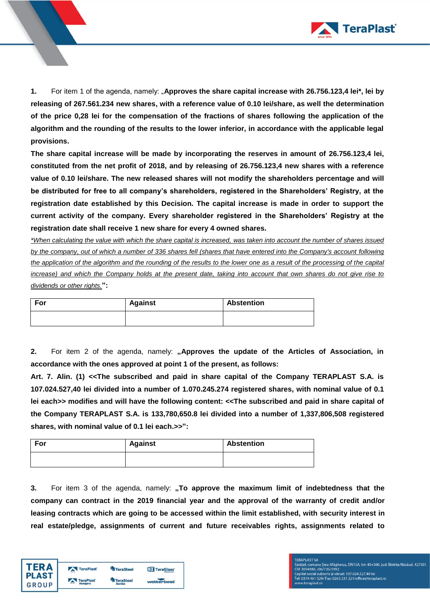

**1.** For item 1 of the agenda, namely: "**Approves the share capital increase with 26.756.123,4 lei\*, lei by releasing of 267.561.234 new shares, with a reference value of 0.10 lei/share, as well the determination of the price 0,28 lei for the compensation of the fractions of shares following the application of the algorithm and the rounding of the results to the lower inferior, in accordance with the applicable legal provisions.** 

**The share capital increase will be made by incorporating the reserves in amount of 26.756.123,4 lei, constituted from the net profit of 2018, and by releasing of 26.756.123,4 new shares with a reference value of 0.10 lei/share. The new released shares will not modify the shareholders percentage and will be distributed for free to all company's shareholders, registered in the Shareholders' Registry, at the registration date established by this Decision. The capital increase is made in order to support the current activity of the company. Every shareholder registered in the Shareholders' Registry at the registration date shall receive 1 new share for every 4 owned shares.**

*\*When calculating the value with which the share capital is increased, was taken into account the number of shares issued by the company, out of which a number of 336 shares fell (shares that have entered into the Company's account following the application of the algorithm and the rounding of the results to the lower one as a result of the processing of the capital increase) and which the Company holds at the present date, taking into account that own shares do not give rise to dividends or other rights.***":**

| For | <b>Against</b> | <b>Abstention</b> |
|-----|----------------|-------------------|
|     |                |                   |

2. For item 2 of the agenda, namely: "Approves the update of the Articles of Association, in **accordance with the ones approved at point 1 of the present, as follows:** 

**Art. 7. Alin. (1) <<The subscribed and paid in share capital of the Company TERAPLAST S.A. is 107.024.527,40 lei divided into a number of 1.070.245.274 registered shares, with nominal value of 0.1 lei each>> modifies and will have the following content: <<The subscribed and paid in share capital of the Company TERAPLAST S.A. is 133,780,650.8 lei divided into a number of 1,337,806,508 registered shares, with nominal value of 0.1 lei each.>>":**

| For | <b>Against</b> | <b>Abstention</b> |
|-----|----------------|-------------------|
|     |                |                   |

**3.** For item 3 of the agenda, namely: "To approve the maximum limit of indebtedness that the **company can contract in the 2019 financial year and the approval of the warranty of credit and/or leasing contracts which are going to be accessed within the limit established, with security interest in real estate/pledge, assignments of current and future receivables rights, assignments related to** 

| TFR A   | TeraPlast | <b>TeraSteel</b> | <b>TIT</b> TeraGlass' |
|---------|-----------|------------------|-----------------------|
| I PLAST | TeraPlast | <b>TeraSteel</b> |                       |
| GROUP   | Hungary   | <b>Serbia</b>    | wetterbest            |

## **FERAPLAST SA** rasa v. Ur. 2007)<br>Caratel, comuna Șieu-Măgheruș, DN15A, km 45+500, jud. Bistrița Năsăud, 427301<br>Capital social subscris și vărsat: 107.024.527.40 lei<br>Tei: 0374 461 529/ Fax: 0263 231 221/office@teraplast.ro<br>Tei: 0374 461 5 w.teraplast.ro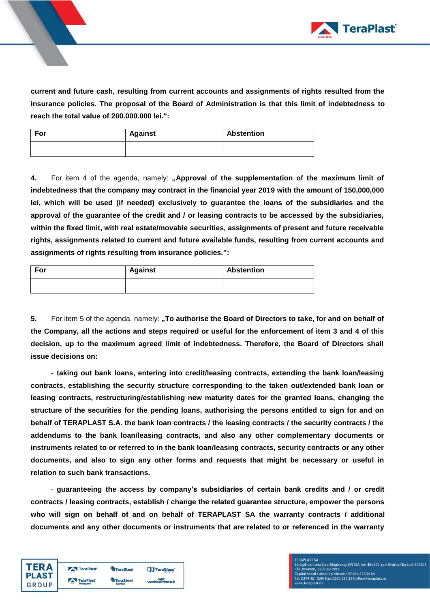

**current and future cash, resulting from current accounts and assignments of rights resulted from the insurance policies. The proposal of the Board of Administration is that this limit of indebtedness to reach the total value of 200.000.000 lei.":**

| For | <b>Against</b> | <b>Abstention</b> |
|-----|----------------|-------------------|
|     |                |                   |

4. For item 4 of the agenda, namely: "Approval of the supplementation of the maximum limit of **indebtedness that the company may contract in the financial year 2019 with the amount of 150,000,000 lei, which will be used (if needed) exclusively to guarantee the loans of the subsidiaries and the approval of the guarantee of the credit and / or leasing contracts to be accessed by the subsidiaries, within the fixed limit, with real estate/movable securities, assignments of present and future receivable rights, assignments related to current and future available funds, resulting from current accounts and assignments of rights resulting from insurance policies.":**

| For | <b>Against</b> | <b>Abstention</b> |
|-----|----------------|-------------------|
|     |                |                   |

**5.** For item 5 of the agenda, namely: "To authorise the Board of Directors to take, for and on behalf of **the Company, all the actions and steps required or useful for the enforcement of item 3 and 4 of this decision, up to the maximum agreed limit of indebtedness. Therefore, the Board of Directors shall issue decisions on:** 

- **taking out bank loans, entering into credit/leasing contracts, extending the bank loan/leasing contracts, establishing the security structure corresponding to the taken out/extended bank loan or leasing contracts, restructuring/establishing new maturity dates for the granted loans, changing the structure of the securities for the pending loans, authorising the persons entitled to sign for and on behalf of TERAPLAST S.A. the bank loan contracts / the leasing contracts / the security contracts / the addendums to the bank loan/leasing contracts, and also any other complementary documents or instruments related to or referred to in the bank loan/leasing contracts, security contracts or any other documents, and also to sign any other forms and requests that might be necessary or useful in relation to such bank transactions.**

- **guaranteeing the access by company's subsidiaries of certain bank credits and / or credit contracts / leasing contracts, establish / change the related guarantee structure, empower the persons who will sign on behalf of and on behalf of TERAPLAST SA the warranty contracts / additional documents and any other documents or instruments that are related to or referenced in the warranty** 

| <b>TERA</b>  | TeraPlast            | <b>TeraSteel</b>                  | <b>TTT</b> TeraGlass' |
|--------------|----------------------|-----------------------------------|-----------------------|
| <b>PLAST</b> | TeraPlast<br>Hungary | <b>TeraSteel</b><br><b>Serbia</b> | wetterbest            |
| GROUP        |                      |                                   |                       |

**FERAPLAST SA** rasa v. Ur. 2007)<br>Caratel, comuna Șieu-Măgheruș, DN15A, km 45+500, jud. Bistrița Năsăud, 427301<br>Capital social subscris și vărsat: 107.024.527.40 lei<br>Tei: 0374 461 529/ Fax: 0263 231 221/office@teraplast.ro<br>Tei: 0374 461 5 w.teraplast.ro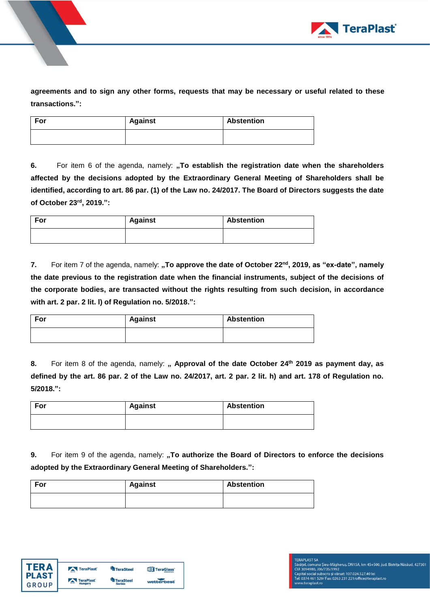

**agreements and to sign any other forms, requests that may be necessary or useful related to these transactions.":**

| For | <b>Against</b> | <b>Abstention</b> |
|-----|----------------|-------------------|
|     |                |                   |

**6.** For item 6 of the agenda, namely: "To establish the registration date when the shareholders **affected by the decisions adopted by the Extraordinary General Meeting of Shareholders shall be identified, according to art. 86 par. (1) of the Law no. 24/2017. The Board of Directors suggests the date of October 23rd , 2019.":** 

| For | <b>Against</b> | <b>Abstention</b> |
|-----|----------------|-------------------|
|     |                |                   |

**7.** For item 7 of the agenda, namely: **"To approve the date of October 22<sup>nd</sup>, 2019, as "ex-date", namely the date previous to the registration date when the financial instruments, subject of the decisions of the corporate bodies, are transacted without the rights resulting from such decision, in accordance with art. 2 par. 2 lit. l) of Regulation no. 5/2018.":**

| For | <b>Against</b> | <b>Abstention</b> |
|-----|----------------|-------------------|
|     |                |                   |

**8.** For item 8 of the agenda, namely: **" Approval of the date October 24 th 2019 as payment day, as defined by the art. 86 par. 2 of the Law no. 24/2017, art. 2 par. 2 lit. h) and art. 178 of Regulation no. 5/2018.":**

| For | <b>Against</b> | <b>Abstention</b> |
|-----|----------------|-------------------|
|     |                |                   |

**9.** For item 9 of the agenda, namely: "To authorize the Board of Directors to enforce the decisions **adopted by the Extraordinary General Meeting of Shareholders.":**

| For | <b>Against</b> | <b>Abstention</b> |
|-----|----------------|-------------------|
|     |                |                   |



**FERAPLAST SA**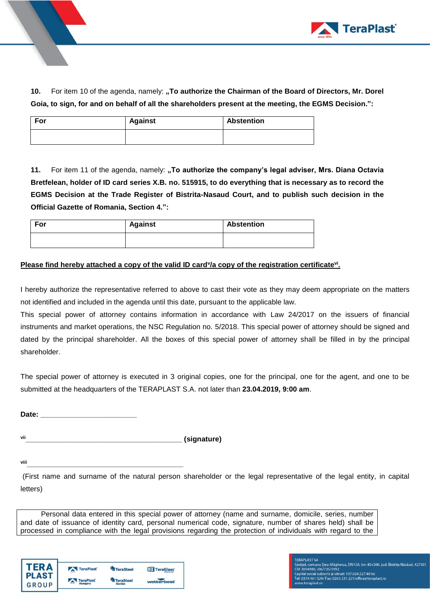

**10.** For item 10 of the agenda, namely: **"To authorize the Chairman of the Board of Directors, Mr. Dorel Goia, to sign, for and on behalf of all the shareholders present at the meeting, the EGMS Decision.":**

| For | <b>Against</b> | <b>Abstention</b> |
|-----|----------------|-------------------|
|     |                |                   |

**11.** For item 11 of the agenda, namely: **"To authorize the company's legal adviser, Mrs. Diana Octavia Bretfelean, holder of ID card series X.B. no. 515915, to do everything that is necessary as to record the EGMS Decision at the Trade Register of Bistrita-Nasaud Court, and to publish such decision in the Official Gazette of Romania, Section 4.":**

| For | <b>Against</b> | <b>Abstention</b> |
|-----|----------------|-------------------|
|     |                |                   |

## Please find hereby attached a copy of the valid ID card<sup>y</sup>/a copy of the registration certificate<sup>vi</sup>.

I hereby authorize the representative referred to above to cast their vote as they may deem appropriate on the matters not identified and included in the agenda until this date, pursuant to the applicable law.

This special power of attorney contains information in accordance with Law 24/2017 on the issuers of financial instruments and market operations, the NSC Regulation no. 5/2018. This special power of attorney should be signed and dated by the principal shareholder. All the boxes of this special power of attorney shall be filled in by the principal shareholder.

The special power of attorney is executed in 3 original copies, one for the principal, one for the agent, and one to be submitted at the headquarters of the TERAPLAST S.A. not later than **23.04.2019, 9:00 am**.

**Date: \_\_\_\_\_\_\_\_\_\_\_\_\_\_\_\_\_\_\_\_\_\_\_\_**

**via the contract of the contract of the contract of the contract of the contract of the contract of the contract of the contract of the contract of the contract of the contract of the contract of the contract of the contr** 

**viii\_\_\_\_\_\_\_\_\_\_\_\_\_\_\_\_\_\_\_\_\_\_\_\_\_\_\_\_\_\_\_\_\_\_\_\_\_\_\_**

(First name and surname of the natural person shareholder or the legal representative of the legal entity, in capital letters)

Personal data entered in this special power of attorney (name and surname, domicile, series, number and date of issuance of identity card, personal numerical code, signature, number of shares held) shall be processed in compliance with the legal provisions regarding the protection of individuals with regard to the

|            | TeraPlast                   | <b>TeraSteel</b>                  | <b>TIT</b> TeraGlass |
|------------|-----------------------------|-----------------------------------|----------------------|
| <b>OUP</b> | <b>TeraPlast</b><br>Hungary | <b>TeraSteel</b><br><b>Serbia</b> | wetterbest           |

**FERAPLAST SA** rasa v. Urasa<br>Sārātel, comuna Șieu-Māgheruș, DN15A, km 45+500, jud. Bistrița Nāsāud, 427301<br>Capital social subscris și vărsat: 107.024.527.40 lei<br>Tel: 0374 461 529/ Fax: 0263 231 221/office@teraplast.ro<br>Tel: 0374 461 529/ w.teraplast.ro